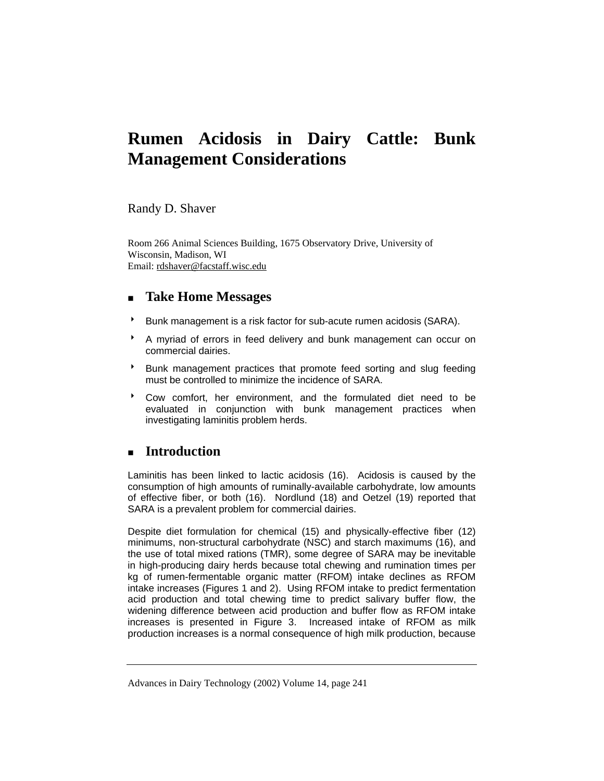# **Rumen Acidosis in Dairy Cattle: Bunk Management Considerations**

Randy D. Shaver

Room 266 Animal Sciences Building, 1675 Observatory Drive, University of Wisconsin, Madison, WI Email: rdshaver@facstaff.wisc.edu

## **Take Home Messages**

- <sup>8</sup> Bunk management is a risk factor for sub-acute rumen acidosis (SARA).
- A myriad of errors in feed delivery and bunk management can occur on commercial dairies.
- Bunk management practices that promote feed sorting and slug feeding must be controlled to minimize the incidence of SARA.
- \* Cow comfort, her environment, and the formulated diet need to be evaluated in conjunction with bunk management practices when investigating laminitis problem herds.

## **Introduction**

Laminitis has been linked to lactic acidosis (16). Acidosis is caused by the consumption of high amounts of ruminally-available carbohydrate, low amounts of effective fiber, or both (16). Nordlund (18) and Oetzel (19) reported that SARA is a prevalent problem for commercial dairies.

Despite diet formulation for chemical (15) and physically-effective fiber (12) minimums, non-structural carbohydrate (NSC) and starch maximums (16), and the use of total mixed rations (TMR), some degree of SARA may be inevitable in high-producing dairy herds because total chewing and rumination times per kg of rumen-fermentable organic matter (RFOM) intake declines as RFOM intake increases (Figures 1 and 2). Using RFOM intake to predict fermentation acid production and total chewing time to predict salivary buffer flow, the widening difference between acid production and buffer flow as RFOM intake increases is presented in Figure 3. Increased intake of RFOM as milk production increases is a normal consequence of high milk production, because

Advances in Dairy Technology (2002) Volume 14, page 241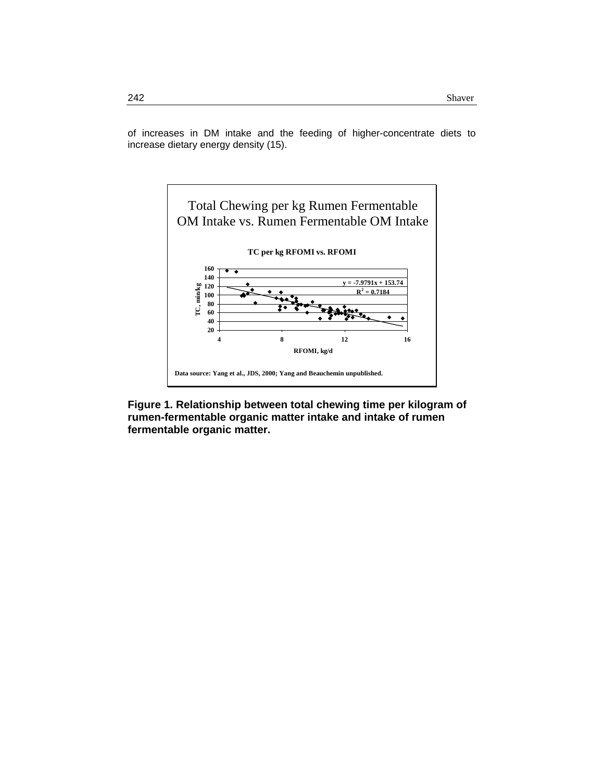of increases in DM intake and the feeding of higher-concentrate diets to increase dietary energy density (15).



**Figure 1. Relationship between total chewing time per kilogram of rumen-fermentable organic matter intake and intake of rumen fermentable organic matter.**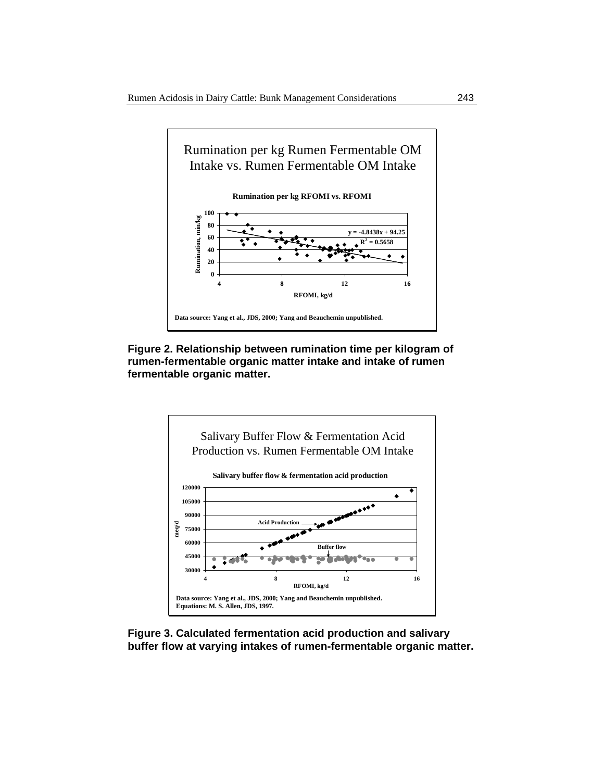

**Figure 2. Relationship between rumination time per kilogram of rumen-fermentable organic matter intake and intake of rumen fermentable organic matter.** 



**Figure 3. Calculated fermentation acid production and salivary buffer flow at varying intakes of rumen-fermentable organic matter.**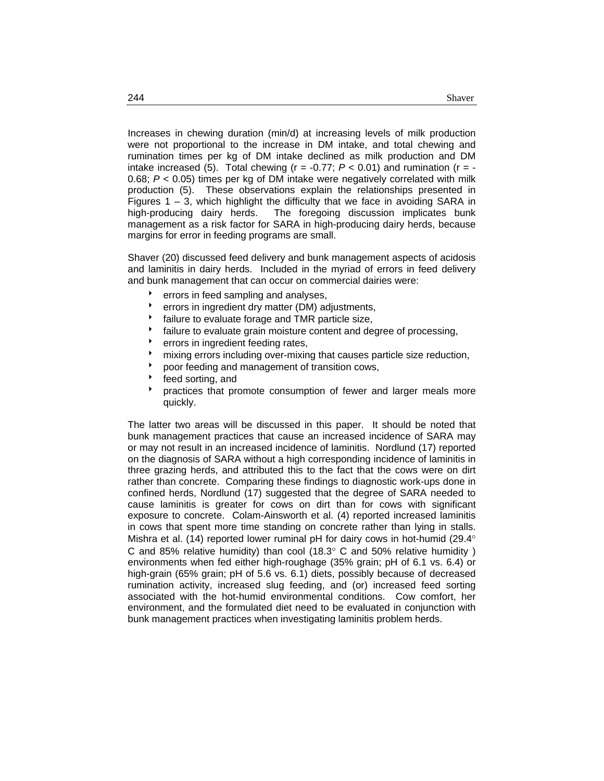Increases in chewing duration (min/d) at increasing levels of milk production were not proportional to the increase in DM intake, and total chewing and rumination times per kg of DM intake declined as milk production and DM intake increased (5). Total chewing ( $r = -0.77$ ;  $P < 0.01$ ) and rumination ( $r = -$ 0.68; *P* < 0.05) times per kg of DM intake were negatively correlated with milk production (5). These observations explain the relationships presented in Figures  $1 - 3$ , which highlight the difficulty that we face in avoiding SARA in high-producing dairy herds. The foregoing discussion implicates bunk management as a risk factor for SARA in high-producing dairy herds, because margins for error in feeding programs are small.

Shaver (20) discussed feed delivery and bunk management aspects of acidosis and laminitis in dairy herds. Included in the myriad of errors in feed delivery and bunk management that can occur on commercial dairies were:

- errors in feed sampling and analyses,
- errors in ingredient dry matter (DM) adjustments,
- failure to evaluate forage and TMR particle size,
- failure to evaluate grain moisture content and degree of processing,
- errors in ingredient feeding rates,
- mixing errors including over-mixing that causes particle size reduction,
- poor feeding and management of transition cows,
- feed sorting, and
- **b** practices that promote consumption of fewer and larger meals more quickly.

The latter two areas will be discussed in this paper. It should be noted that bunk management practices that cause an increased incidence of SARA may or may not result in an increased incidence of laminitis. Nordlund (17) reported on the diagnosis of SARA without a high corresponding incidence of laminitis in three grazing herds, and attributed this to the fact that the cows were on dirt rather than concrete. Comparing these findings to diagnostic work-ups done in confined herds, Nordlund (17) suggested that the degree of SARA needed to cause laminitis is greater for cows on dirt than for cows with significant exposure to concrete. Colam-Ainsworth et al. (4) reported increased laminitis in cows that spent more time standing on concrete rather than lying in stalls. Mishra et al. (14) reported lower ruminal pH for dairy cows in hot-humid (29.4° C and 85% relative humidity) than cool (18.3 $\degree$  C and 50% relative humidity) environments when fed either high-roughage (35% grain; pH of 6.1 vs. 6.4) or high-grain (65% grain; pH of 5.6 vs. 6.1) diets, possibly because of decreased rumination activity, increased slug feeding, and (or) increased feed sorting associated with the hot-humid environmental conditions. Cow comfort, her environment, and the formulated diet need to be evaluated in conjunction with bunk management practices when investigating laminitis problem herds.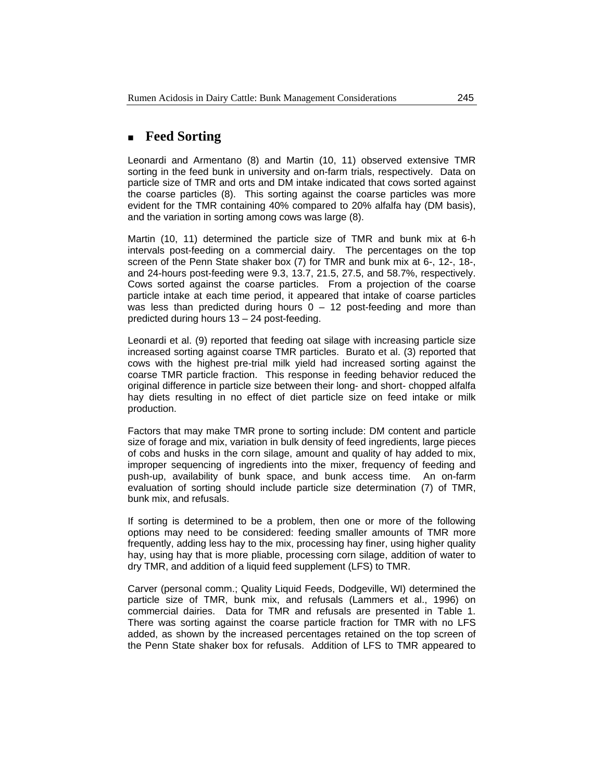#### **Feed Sorting**

Leonardi and Armentano (8) and Martin (10, 11) observed extensive TMR sorting in the feed bunk in university and on-farm trials, respectively. Data on particle size of TMR and orts and DM intake indicated that cows sorted against the coarse particles (8). This sorting against the coarse particles was more evident for the TMR containing 40% compared to 20% alfalfa hay (DM basis), and the variation in sorting among cows was large (8).

Martin (10, 11) determined the particle size of TMR and bunk mix at 6-h intervals post-feeding on a commercial dairy. The percentages on the top screen of the Penn State shaker box (7) for TMR and bunk mix at 6-, 12-, 18-, and 24-hours post-feeding were 9.3, 13.7, 21.5, 27.5, and 58.7%, respectively. Cows sorted against the coarse particles. From a projection of the coarse particle intake at each time period, it appeared that intake of coarse particles was less than predicted during hours  $0 - 12$  post-feeding and more than predicted during hours 13 – 24 post-feeding.

Leonardi et al. (9) reported that feeding oat silage with increasing particle size increased sorting against coarse TMR particles. Burato et al. (3) reported that cows with the highest pre-trial milk yield had increased sorting against the coarse TMR particle fraction. This response in feeding behavior reduced the original difference in particle size between their long- and short- chopped alfalfa hay diets resulting in no effect of diet particle size on feed intake or milk production.

Factors that may make TMR prone to sorting include: DM content and particle size of forage and mix, variation in bulk density of feed ingredients, large pieces of cobs and husks in the corn silage, amount and quality of hay added to mix, improper sequencing of ingredients into the mixer, frequency of feeding and push-up, availability of bunk space, and bunk access time. An on-farm evaluation of sorting should include particle size determination (7) of TMR, bunk mix, and refusals.

If sorting is determined to be a problem, then one or more of the following options may need to be considered: feeding smaller amounts of TMR more frequently, adding less hay to the mix, processing hay finer, using higher quality hay, using hay that is more pliable, processing corn silage, addition of water to dry TMR, and addition of a liquid feed supplement (LFS) to TMR.

Carver (personal comm.; Quality Liquid Feeds, Dodgeville, WI) determined the particle size of TMR, bunk mix, and refusals (Lammers et al., 1996) on commercial dairies. Data for TMR and refusals are presented in Table 1. There was sorting against the coarse particle fraction for TMR with no LFS added, as shown by the increased percentages retained on the top screen of the Penn State shaker box for refusals. Addition of LFS to TMR appeared to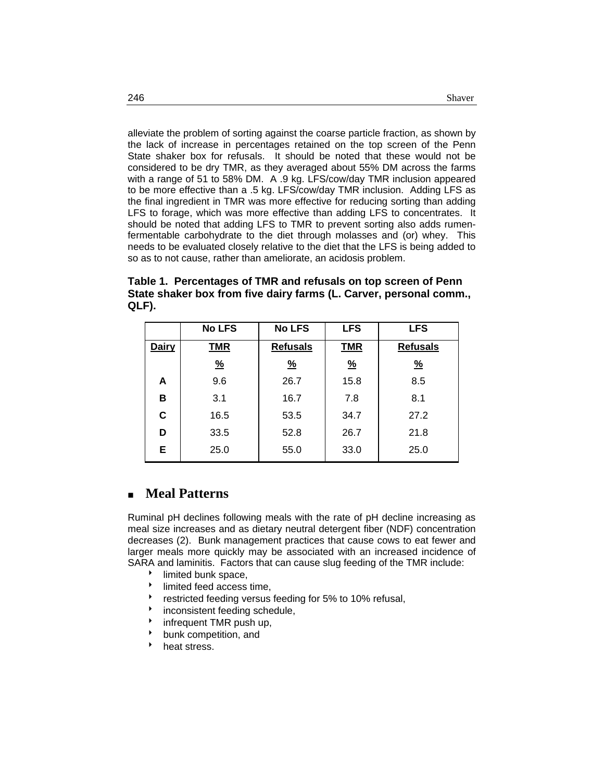alleviate the problem of sorting against the coarse particle fraction, as shown by the lack of increase in percentages retained on the top screen of the Penn State shaker box for refusals. It should be noted that these would not be considered to be dry TMR, as they averaged about 55% DM across the farms with a range of 51 to 58% DM. A .9 kg. LFS/cow/day TMR inclusion appeared to be more effective than a .5 kg. LFS/cow/day TMR inclusion. Adding LFS as the final ingredient in TMR was more effective for reducing sorting than adding LFS to forage, which was more effective than adding LFS to concentrates. It should be noted that adding LFS to TMR to prevent sorting also adds rumenfermentable carbohydrate to the diet through molasses and (or) whey. This needs to be evaluated closely relative to the diet that the LFS is being added to so as to not cause, rather than ameliorate, an acidosis problem.

**Table 1. Percentages of TMR and refusals on top screen of Penn State shaker box from five dairy farms (L. Carver, personal comm., QLF).** 

|              | <b>No LFS</b> | <b>No LFS</b>   | <b>LFS</b>    | <b>LFS</b>      |
|--------------|---------------|-----------------|---------------|-----------------|
| <b>Dairy</b> | TMR           | <b>Refusals</b> | <b>TMR</b>    | <b>Refusals</b> |
|              | $\frac{9}{6}$ | $\frac{9}{6}$   | $\frac{9}{6}$ | $\frac{9}{6}$   |
| A            | 9.6           | 26.7            | 15.8          | 8.5             |
| в            | 3.1           | 16.7            | 7.8           | 8.1             |
| C            | 16.5          | 53.5            | 34.7          | 27.2            |
| D            | 33.5          | 52.8            | 26.7          | 21.8            |
| Е            | 25.0          | 55.0            | 33.0          | 25.0            |

## **Meal Patterns**

Ruminal pH declines following meals with the rate of pH decline increasing as meal size increases and as dietary neutral detergent fiber (NDF) concentration decreases (2). Bunk management practices that cause cows to eat fewer and larger meals more quickly may be associated with an increased incidence of SARA and laminitis. Factors that can cause slug feeding of the TMR include:

- limited bunk space,
- $\bullet$  limited feed access time.
- restricted feeding versus feeding for 5% to 10% refusal,
- inconsistent feeding schedule,
- infrequent TMR push up,
- bunk competition, and
- heat stress.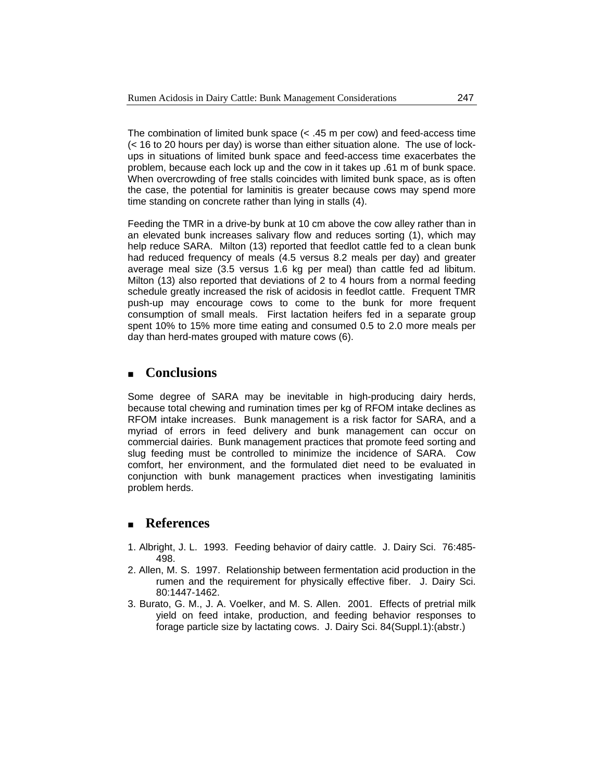The combination of limited bunk space  $(< .45 \text{ m per cow})$  and feed-access time (< 16 to 20 hours per day) is worse than either situation alone. The use of lockups in situations of limited bunk space and feed-access time exacerbates the problem, because each lock up and the cow in it takes up .61 m of bunk space. When overcrowding of free stalls coincides with limited bunk space, as is often the case, the potential for laminitis is greater because cows may spend more time standing on concrete rather than lying in stalls (4).

Feeding the TMR in a drive-by bunk at 10 cm above the cow alley rather than in an elevated bunk increases salivary flow and reduces sorting (1), which may help reduce SARA. Milton (13) reported that feedlot cattle fed to a clean bunk had reduced frequency of meals (4.5 versus 8.2 meals per day) and greater average meal size (3.5 versus 1.6 kg per meal) than cattle fed ad libitum. Milton (13) also reported that deviations of 2 to 4 hours from a normal feeding schedule greatly increased the risk of acidosis in feedlot cattle. Frequent TMR push-up may encourage cows to come to the bunk for more frequent consumption of small meals. First lactation heifers fed in a separate group spent 10% to 15% more time eating and consumed 0.5 to 2.0 more meals per day than herd-mates grouped with mature cows (6).

#### **Conclusions**

Some degree of SARA may be inevitable in high-producing dairy herds, because total chewing and rumination times per kg of RFOM intake declines as RFOM intake increases. Bunk management is a risk factor for SARA, and a myriad of errors in feed delivery and bunk management can occur on commercial dairies. Bunk management practices that promote feed sorting and slug feeding must be controlled to minimize the incidence of SARA. Cow comfort, her environment, and the formulated diet need to be evaluated in conjunction with bunk management practices when investigating laminitis problem herds.

#### **References**

- 1. Albright, J. L. 1993. Feeding behavior of dairy cattle. J. Dairy Sci. 76:485- 498.
- 2. Allen, M. S. 1997. Relationship between fermentation acid production in the rumen and the requirement for physically effective fiber. J. Dairy Sci. 80:1447-1462.
- 3. Burato, G. M., J. A. Voelker, and M. S. Allen. 2001. Effects of pretrial milk yield on feed intake, production, and feeding behavior responses to forage particle size by lactating cows. J. Dairy Sci. 84(Suppl.1):(abstr.)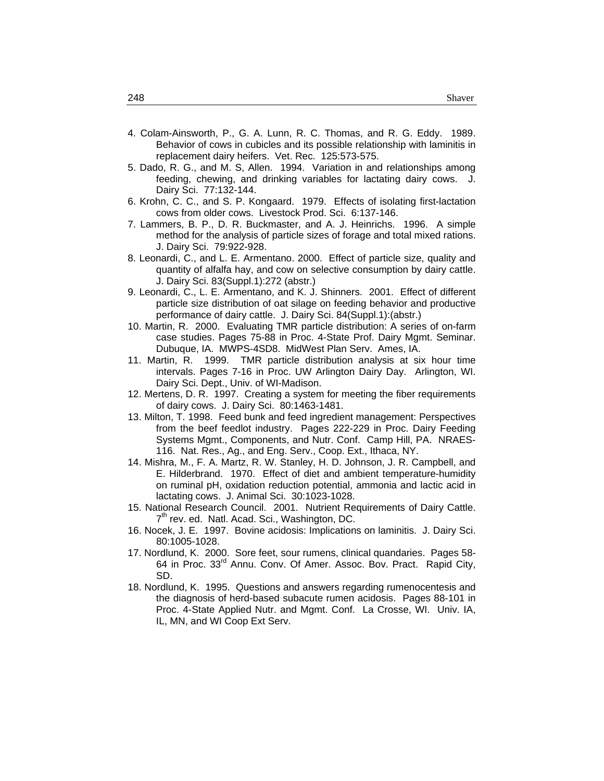- 4. Colam-Ainsworth, P., G. A. Lunn, R. C. Thomas, and R. G. Eddy. 1989. Behavior of cows in cubicles and its possible relationship with laminitis in replacement dairy heifers. Vet. Rec. 125:573-575.
- 5. Dado, R. G., and M. S, Allen. 1994. Variation in and relationships among feeding, chewing, and drinking variables for lactating dairy cows. J. Dairy Sci. 77:132-144.
- 6. Krohn, C. C., and S. P. Kongaard. 1979. Effects of isolating first-lactation cows from older cows. Livestock Prod. Sci. 6:137-146.
- 7. Lammers, B. P., D. R. Buckmaster, and A. J. Heinrichs. 1996. A simple method for the analysis of particle sizes of forage and total mixed rations. J. Dairy Sci. 79:922-928.
- 8. Leonardi, C., and L. E. Armentano. 2000. Effect of particle size, quality and quantity of alfalfa hay, and cow on selective consumption by dairy cattle. J. Dairy Sci. 83(Suppl.1):272 (abstr.)
- 9. Leonardi, C., L. E. Armentano, and K. J. Shinners. 2001. Effect of different particle size distribution of oat silage on feeding behavior and productive performance of dairy cattle. J. Dairy Sci. 84(Suppl.1):(abstr.)
- 10. Martin, R. 2000. Evaluating TMR particle distribution: A series of on-farm case studies. Pages 75-88 in Proc. 4-State Prof. Dairy Mgmt. Seminar. Dubuque, IA. MWPS-4SD8. MidWest Plan Serv. Ames, IA.
- 11. Martin, R. 1999. TMR particle distribution analysis at six hour time intervals. Pages 7-16 in Proc. UW Arlington Dairy Day. Arlington, WI. Dairy Sci. Dept., Univ. of WI-Madison.
- 12. Mertens, D. R. 1997. Creating a system for meeting the fiber requirements of dairy cows. J. Dairy Sci. 80:1463-1481.
- 13. Milton, T. 1998. Feed bunk and feed ingredient management: Perspectives from the beef feedlot industry. Pages 222-229 in Proc. Dairy Feeding Systems Mgmt., Components, and Nutr. Conf. Camp Hill, PA. NRAES-116. Nat. Res., Ag., and Eng. Serv., Coop. Ext., Ithaca, NY.
- 14. Mishra, M., F. A. Martz, R. W. Stanley, H. D. Johnson, J. R. Campbell, and E. Hilderbrand. 1970. Effect of diet and ambient temperature-humidity on ruminal pH, oxidation reduction potential, ammonia and lactic acid in lactating cows. J. Animal Sci. 30:1023-1028.
- 15. National Research Council. 2001. Nutrient Requirements of Dairy Cattle.  $7<sup>th</sup>$  rev. ed. Natl. Acad. Sci., Washington, DC.
- 16. Nocek, J. E. 1997. Bovine acidosis: Implications on laminitis. J. Dairy Sci. 80:1005-1028.
- 17. Nordlund, K. 2000. Sore feet, sour rumens, clinical quandaries. Pages 58- 64 in Proc. 33<sup>rd</sup> Annu. Conv. Of Amer. Assoc. Bov. Pract. Rapid City, SD.
- 18. Nordlund, K. 1995. Questions and answers regarding rumenocentesis and the diagnosis of herd-based subacute rumen acidosis. Pages 88-101 in Proc. 4-State Applied Nutr. and Mgmt. Conf. La Crosse, WI. Univ. IA, IL, MN, and WI Coop Ext Serv.